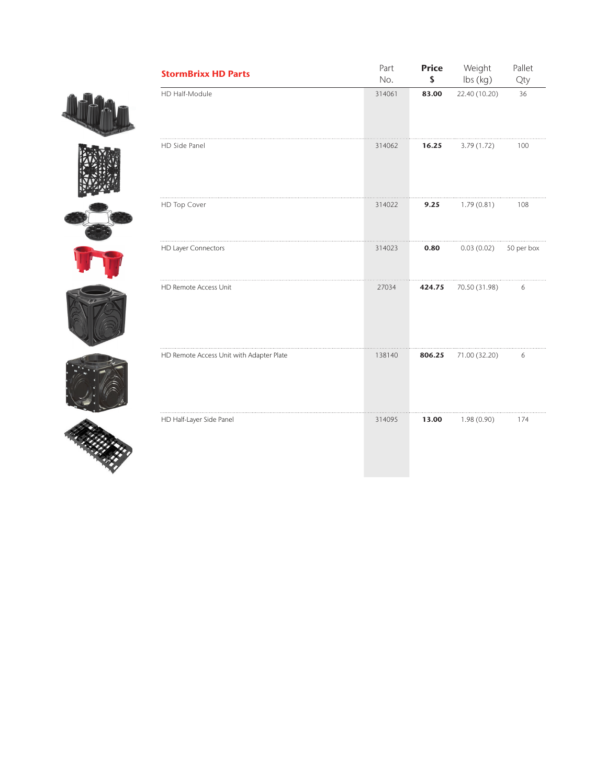











| <b>StormBrixx HD Parts</b>               | Part<br>No. | <b>Price</b><br>\$ | Weight<br>$\mathsf{lbs}\left(\mathsf{kg}\right)$ | Pallet<br>Qty |
|------------------------------------------|-------------|--------------------|--------------------------------------------------|---------------|
| HD Half-Module                           | 314061      | 83.00              | 22.40 (10.20)                                    | 36            |
| HD Side Panel                            | 314062      | 16.25              | 3.79(1.72)                                       | 100           |
| HD Top Cover                             | 314022      | 9.25               | 1.79(0.81)                                       | 108           |
| HD Layer Connectors                      | 314023      | 0.80               | 0.03(0.02)                                       | 50 per box    |
| HD Remote Access Unit                    | 27034       | 424.75             | 70.50 (31.98)                                    | 6             |
| HD Remote Access Unit with Adapter Plate | 138140      | 806.25             | 71.00 (32.20)                                    | 6             |
| HD Half-Layer Side Panel                 | 314095      | 13.00              | 1.98(0.90)                                       | 174           |